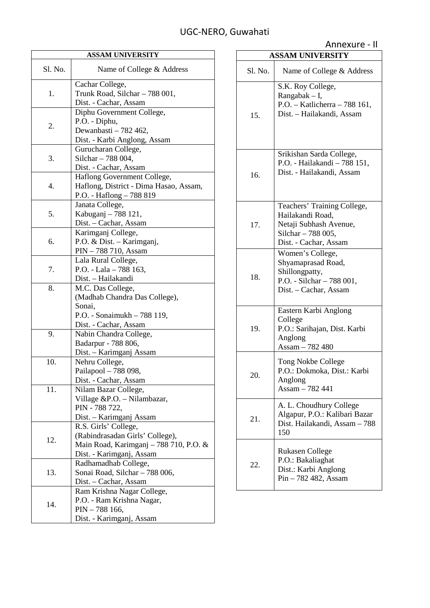| <b>ASSAM UNIVERSITY</b> |                                                                                                                               |  |
|-------------------------|-------------------------------------------------------------------------------------------------------------------------------|--|
| Sl. No.                 | Name of College & Address                                                                                                     |  |
| 1.                      | Cachar College,<br>Trunk Road, Silchar - 788 001,<br>Dist. - Cachar, Assam                                                    |  |
| 2.                      | Diphu Government College,<br>P.O. - Diphu,<br>Dewanbasti - 782 462,<br>Dist. - Karbi Anglong, Assam                           |  |
| 3.                      | Gurucharan College,<br>Silchar - 788 004,<br>Dist. - Cachar, Assam                                                            |  |
| 4.                      | Haflong Government College,<br>Haflong, District - Dima Hasao, Assam,<br>P.O. - Haflong - 788 819                             |  |
| 5.                      | Janata College,<br>Kabuganj - 788 121,<br>Dist. - Cachar, Assam                                                               |  |
| 6.                      | Karimganj College,<br>P.O. & Dist. - Karimganj,<br>PIN - 788 710, Assam                                                       |  |
| 7.                      | Lala Rural College,<br>P.O. - Lala - 788 163,<br>Dist. - Hailakandi                                                           |  |
| 8.                      | M.C. Das College,<br>(Madhab Chandra Das College),<br>Sonai,<br>P.O. - Sonaimukh - 788 119,<br>Dist. - Cachar, Assam          |  |
| 9.                      | Nabin Chandra College,<br>Badarpur - 788 806,<br>Dist. – Karimganj Assam                                                      |  |
| 10.                     | Nehru College,<br>Pailapool - 788 098.<br>Dist. - Cachar, Assam                                                               |  |
| 11.                     | Nilam Bazar College,<br>Village &P.O. - Nilambazar,<br>PIN - 788 722,<br>Dist. - Karimganj Assam                              |  |
| 12.                     | R.S. Girls' College,<br>(Rabindrasadan Girls' College),<br>Main Road, Karimganj - 788 710, P.O. &<br>Dist. - Karimganj, Assam |  |
| 13.                     | Radhamadhab College,<br>Sonai Road, Silchar - 788 006,<br>Dist. – Cachar, Assam                                               |  |
| 14.                     | Ram Krishna Nagar College,<br>P.O. - Ram Krishna Nagar,<br>$PIN - 788166,$<br>Dist. - Karimganj, Assam                        |  |

| <b>ASSAM UNIVERSITY</b> |                                                                                                                          |  |
|-------------------------|--------------------------------------------------------------------------------------------------------------------------|--|
| Sl. No.                 | Name of College & Address                                                                                                |  |
| 15.                     | S.K. Roy College,<br>Rangabak $- I$ ,<br>P.O. - Katlicherra - 788 161,<br>Dist. - Hailakandi, Assam                      |  |
| 16.                     | Srikishan Sarda College,<br>P.O. - Hailakandi - 788 151,<br>Dist. - Hailakandi, Assam                                    |  |
| 17.                     | Teachers' Training College,<br>Hailakandi Road,<br>Netaji Subhash Avenue,<br>Silchar - 788 005,<br>Dist. - Cachar, Assam |  |
| 18.                     | Women's College,<br>Shyamaprasad Road,<br>Shillongpatty,<br>P.O. - Silchar - 788 001,<br>Dist. - Cachar, Assam           |  |
| 19.                     | Eastern Karbi Anglong<br>College<br>P.O.: Sarihajan, Dist. Karbi<br>Anglong<br>Assam - 782 480                           |  |
| 20.                     | Tong Nokbe College<br>P.O.: Dokmoka, Dist.: Karbi<br>Anglong<br>Assam - 782 441                                          |  |
| 21.                     | A. L. Choudhury College<br>Algapur, P.O.: Kalibari Bazar<br>Dist. Hailakandi, Assam - 788<br>150                         |  |
| 22.                     | <b>Rukasen College</b><br>P.O.: Bakaliaghat<br>Dist.: Karbi Anglong<br>Pin - 782 482, Assam                              |  |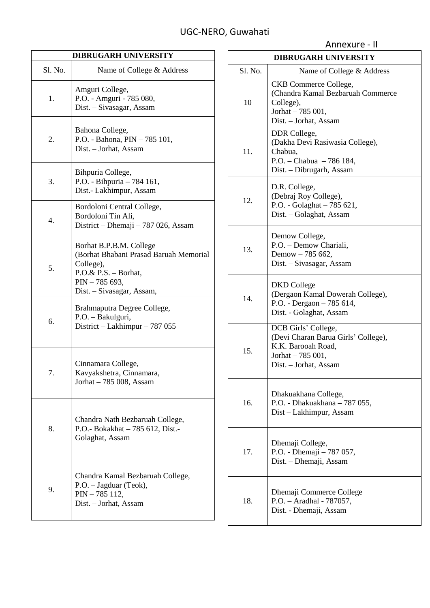| <b>DIBRUGARH UNIVERSITY</b> |                                                                                                                                                           |  |
|-----------------------------|-----------------------------------------------------------------------------------------------------------------------------------------------------------|--|
| Sl. No.                     | Name of College & Address                                                                                                                                 |  |
| 1.                          | Amguri College,<br>P.O. - Amguri - 785 080,<br>Dist. - Sivasagar, Assam                                                                                   |  |
| 2.                          | Bahona College,<br>P.O. - Bahona, PIN - 785 101,<br>Dist. - Jorhat, Assam                                                                                 |  |
| 3.                          | Bihpuria College,<br>P.O. - Bihpuria - 784 161,<br>Dist.- Lakhimpur, Assam                                                                                |  |
| 4.                          | Bordoloni Central College,<br>Bordoloni Tin Ali,<br>District – Dhemaji – 787 026, Assam                                                                   |  |
| 5.                          | Borhat B.P.B.M. College<br>(Borhat Bhabani Prasad Baruah Memorial<br>College),<br>$P.O.\& P.S. - Borhat,$<br>$PIN - 785693,$<br>Dist. - Sivasagar, Assam, |  |
| 6.                          | Brahmaputra Degree College,<br>P.O. - Bakulguri,<br>District - Lakhimpur - 787 055                                                                        |  |
| 7.                          | Cinnamara College,<br>Kavyakshetra, Cinnamara,<br>Jorhat - 785 008, Assam                                                                                 |  |
| 8.                          | Chandra Nath Bezbaruah College,<br>P.O.- Bokakhat - 785 612, Dist.-<br>Golaghat, Assam                                                                    |  |
| 9.                          | Chandra Kamal Bezbaruah College,<br>P.O. - Jagduar (Teok),<br>PIN - 785 112,<br>Dist. - Jorhat, Assam                                                     |  |

| <b>DIBRUGARH UNIVERSITY</b> |                                                                                                                                |  |
|-----------------------------|--------------------------------------------------------------------------------------------------------------------------------|--|
| Sl. No.                     | Name of College & Address                                                                                                      |  |
| 10                          | CKB Commerce College,<br>(Chandra Kamal Bezbaruah Commerce<br>College),<br>Jorhat - 785 001,<br>Dist. - Jorhat, Assam          |  |
| 11.                         | DDR College,<br>(Dakha Devi Rasiwasia College),<br>Chabua.<br>P.O. - Chabua - 786 184,<br>Dist. - Dibrugarh, Assam             |  |
| 12.                         | D.R. College,<br>(Debraj Roy College),<br>P.O. - Golaghat - 785 621,<br>Dist. - Golaghat, Assam                                |  |
| 13.                         | Demow College,<br>P.O. - Demow Chariali,<br>Demow - 785 662,<br>Dist. - Sivasagar, Assam                                       |  |
| 14.                         | DKD College<br>(Dergaon Kamal Dowerah College),<br>P.O. - Dergaon - 785 614,<br>Dist. - Golaghat, Assam                        |  |
| 15.                         | DCB Girls' College,<br>(Devi Charan Barua Girls' College),<br>K.K. Barooah Road,<br>Jorhat - 785 001,<br>Dist. - Jorhat, Assam |  |
| 16.                         | Dhakuakhana College,<br>P.O. - Dhakuakhana - 787 055,<br>Dist - Lakhimpur, Assam                                               |  |
| 17.                         | Dhemaji College,<br>P.O. - Dhemaji - 787 057,<br>Dist. – Dhemaji, Assam                                                        |  |
| 18.                         | Dhemaji Commerce College<br>P.O. - Aradhal - 787057,<br>Dist. - Dhemaji, Assam                                                 |  |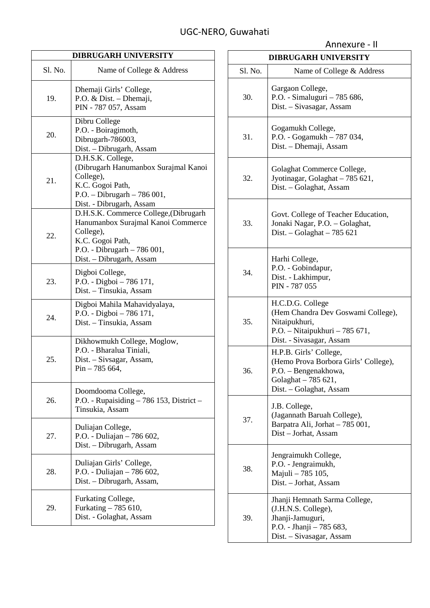| <b>DIBRUGARH UNIVERSITY</b> |                                                                                                                                                                         |  |
|-----------------------------|-------------------------------------------------------------------------------------------------------------------------------------------------------------------------|--|
| S1. No.                     | Name of College & Address                                                                                                                                               |  |
| 19.                         | Dhemaji Girls' College,<br>P.O. & Dist. - Dhemaji,<br>PIN - 787 057, Assam                                                                                              |  |
| 20.                         | Dibru College<br>P.O. - Boiragimoth,<br>Dibrugarh-786003,<br>Dist. - Dibrugarh, Assam                                                                                   |  |
| 21.                         | D.H.S.K. College,<br>(Dibrugarh Hanumanbox Surajmal Kanoi<br>College),<br>K.C. Gogoi Path,<br>P.O. - Dibrugarh - 786 001,<br>Dist. - Dibrugarh, Assam                   |  |
| 22.                         | D.H.S.K. Commerce College, (Dibrugarh<br>Hanumanbox Surajmal Kanoi Commerce<br>College),<br>K.C. Gogoi Path,<br>P.O. - Dibrugarh - 786 001,<br>Dist. - Dibrugarh, Assam |  |
| 23.                         | Digboi College,<br>P.O. - Digboi - 786 171,<br>Dist. - Tinsukia, Assam                                                                                                  |  |
| 24.                         | Digboi Mahila Mahavidyalaya,<br>P.O. - Digboi - 786 171,<br>Dist. - Tinsukia, Assam                                                                                     |  |
| 25.                         | Dikhowmukh College, Moglow,<br>P.O. - Bharalua Tiniali,<br>Dist. - Sivsagar, Assam,<br>$Pin - 785664,$                                                                  |  |
| 26.                         | Doomdooma College,<br>P.O. - Rupaisiding $-786$ 153, District $-$<br>Tinsukia, Assam                                                                                    |  |
| 27.                         | Duliajan College,<br>P.O. - Duliajan - 786 602,<br>Dist. - Dibrugarh, Assam                                                                                             |  |
| 28.                         | Duliajan Girls' College,<br>P.O. - Duliajan - 786 602,<br>Dist. - Dibrugarh, Assam,                                                                                     |  |
| 29.                         | Furkating College,<br>Furkating - 785 610,<br>Dist. - Golaghat, Assam                                                                                                   |  |

| <b>DIBRUGARH UNIVERSITY</b> |                                                                                                                                          |  |
|-----------------------------|------------------------------------------------------------------------------------------------------------------------------------------|--|
| Sl. No.                     | Name of College & Address                                                                                                                |  |
| 30.                         | Gargaon College,<br>P.O. - Simaluguri - 785 686,<br>Dist. - Sivasagar, Assam                                                             |  |
| 31.                         | Gogamukh College,<br>P.O. - Gogamukh - 787 034,<br>Dist. - Dhemaji, Assam                                                                |  |
| 32.                         | Golaghat Commerce College,<br>Jyotinagar, Golaghat - 785 621,<br>Dist. - Golaghat, Assam                                                 |  |
| 33.                         | Govt. College of Teacher Education,<br>Jonaki Nagar, P.O. - Golaghat,<br>Dist. - Golaghat - 785 621                                      |  |
| 34.                         | Harhi College,<br>P.O. - Gobindapur,<br>Dist. - Lakhimpur,<br>PIN - 787 055                                                              |  |
| 35.                         | H.C.D.G. College<br>(Hem Chandra Dev Goswami College),<br>Nitaipukhuri,<br>P.O. - Nitaipukhuri - 785 671,<br>Dist. - Sivasagar, Assam    |  |
| 36.                         | H.P.B. Girls' College,<br>(Hemo Prova Borbora Girls' College),<br>P.O. - Bengenakhowa,<br>Golaghat - 785 621,<br>Dist. – Golaghat, Assam |  |
| 37.                         | J.B. College,<br>(Jagannath Baruah College),<br>Barpatra Ali, Jorhat - 785 001,<br>Dist – Jorhat, Assam                                  |  |
| 38.                         | Jengraimukh College,<br>P.O. - Jengraimukh,<br>Majuli - 785 105,<br>Dist. - Jorhat, Assam                                                |  |
| 39.                         | Jhanji Hemnath Sarma College,<br>(J.H.N.S. College),<br>Jhanji-Jamuguri,<br>P.O. - Jhanji - 785 683,<br>Dist. - Sivasagar, Assam         |  |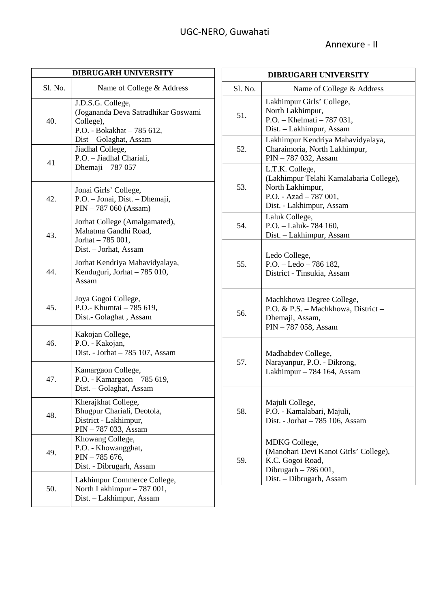| <b>DIBRUGARH UNIVERSITY</b> |                                                                                                                               |  |
|-----------------------------|-------------------------------------------------------------------------------------------------------------------------------|--|
| Sl. No.                     | Name of College & Address                                                                                                     |  |
| 40.                         | J.D.S.G. College,<br>(Jogananda Deva Satradhikar Goswami<br>College),<br>P.O. - Bokakhat - 785 612,<br>Dist - Golaghat, Assam |  |
| 41                          | Jiadhal College,<br>P.O. - Jiadhal Chariali,<br>Dhemaji - 787 057                                                             |  |
| 42.                         | Jonai Girls' College,<br>P.O. - Jonai, Dist. - Dhemaji,<br>PIN - 787 060 (Assam)                                              |  |
| 43.                         | Jorhat College (Amalgamated),<br>Mahatma Gandhi Road,<br>Jorhat - 785 001,<br>Dist. - Jorhat, Assam                           |  |
| 44.                         | Jorhat Kendriya Mahavidyalaya,<br>Kenduguri, Jorhat - 785 010,<br>Assam                                                       |  |
| 45.                         | Joya Gogoi College,<br>P.O.- Khumtai - 785 619,<br>Dist.- Golaghat, Assam                                                     |  |
| 46.                         | Kakojan College,<br>P.O. - Kakojan,<br>Dist. - Jorhat - 785 107, Assam                                                        |  |
| 47.                         | Kamargaon College,<br>P.O. - Kamargaon - 785 619,<br>Dist. - Golaghat, Assam                                                  |  |
| 48.                         | Kherajkhat College,<br>Bhugpur Chariali, Deotola,<br>District - Lakhimpur,<br>PIN - 787 033, Assam                            |  |
| 49.                         | Khowang College,<br>P.O. - Khowangghat,<br>$PIN - 785676,$<br>Dist. - Dibrugarh, Assam                                        |  |
| 50.                         | Lakhimpur Commerce College,<br>North Lakhimpur - 787 001,<br>Dist. - Lakhimpur, Assam                                         |  |

| <b>DIBRUGARH UNIVERSITY</b> |                                                                                                                                       |  |
|-----------------------------|---------------------------------------------------------------------------------------------------------------------------------------|--|
| Sl. No.                     | Name of College & Address                                                                                                             |  |
| 51.                         | Lakhimpur Girls' College,<br>North Lakhimpur,<br>P.O. - Khelmati - 787 031,<br>Dist. - Lakhimpur, Assam                               |  |
| 52.                         | Lakhimpur Kendriya Mahavidyalaya,<br>Charaimoria, North Lakhimpur,<br>PIN - 787 032, Assam                                            |  |
| 53.                         | L.T.K. College,<br>(Lakhimpur Telahi Kamalabaria College),<br>North Lakhimpur,<br>P.O. - Azad $-787001$ ,<br>Dist. - Lakhimpur, Assam |  |
| 54.                         | Laluk College,<br>P.O. - Laluk- 784 160,<br>Dist. - Lakhimpur, Assam                                                                  |  |
| 55.                         | Ledo College,<br>$P.O. - Ledo - 786182,$<br>District - Tinsukia, Assam                                                                |  |
| 56.                         | Machkhowa Degree College,<br>P.O. & P.S. - Machkhowa, District -<br>Dhemaji, Assam,<br>PIN - 787 058, Assam                           |  |
| 57.                         | Madhabdev College,<br>Narayanpur, P.O. - Dikrong,<br>Lakhimpur – 784 164, Assam                                                       |  |
| 58.                         | Majuli College,<br>P.O. - Kamalabari, Majuli,<br>Dist. - Jorhat - 785 106, Assam                                                      |  |
| 59.                         | MDKG College,<br>(Manohari Devi Kanoi Girls' College),<br>K.C. Gogoi Road,<br>Dibrugarh - 786 001,<br>Dist. - Dibrugarh, Assam        |  |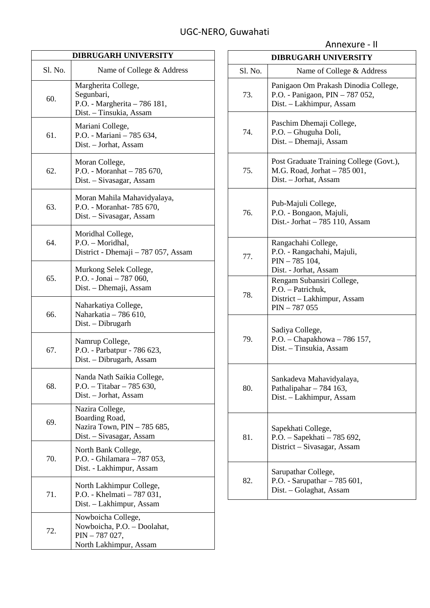| <b>DIBRUGARH UNIVERSITY</b> |                                                                                                |  |
|-----------------------------|------------------------------------------------------------------------------------------------|--|
| Sl. No.                     | Name of College & Address                                                                      |  |
| 60.                         | Margherita College,<br>Segunbari,<br>P.O. - Margherita - 786 181,<br>Dist. - Tinsukia, Assam   |  |
| 61.                         | Mariani College,<br>P.O. - Mariani - 785 634,<br>Dist. - Jorhat, Assam                         |  |
| 62.                         | Moran College,<br>P.O. - Moranhat - 785 670,<br>Dist. - Sivasagar, Assam                       |  |
| 63.                         | Moran Mahila Mahavidyalaya,<br>P.O. - Moranhat- 785 670,<br>Dist. - Sivasagar, Assam           |  |
| 64.                         | Moridhal College,<br>P.O. - Moridhal,<br>District - Dhemaji – 787 057, Assam                   |  |
| 65.                         | Murkong Selek College,<br>P.O. - Jonai - 787 060,<br>Dist. – Dhemaji, Assam                    |  |
| 66.                         | Naharkatiya College,<br>Naharkatia - 786 610,<br>Dist. - Dibrugarh                             |  |
| 67.                         | Namrup College,<br>P.O. - Parbatpur - 786 623,<br>Dist. - Dibrugarh, Assam                     |  |
| 68.                         | Nanda Nath Saikia College,<br>P.O. - Titabar $-785$ 630,<br>Dist. - Jorhat, Assam              |  |
| 69.                         | Nazira College,<br>Boarding Road,<br>Nazira Town, PIN - 785 685,<br>Dist. - Sivasagar, Assam   |  |
| 70.                         | North Bank College,<br>P.O. - Ghilamara - 787 053,<br>Dist. - Lakhimpur, Assam                 |  |
| 71.                         | North Lakhimpur College,<br>P.O. - Khelmati - 787 031,<br>Dist. - Lakhimpur, Assam             |  |
| 72.                         | Nowboicha College,<br>Nowboicha, P.O. - Doolahat,<br>$PIN - 787027,$<br>North Lakhimpur, Assam |  |

|                             | Annexure - II                                                                                       |
|-----------------------------|-----------------------------------------------------------------------------------------------------|
| <b>DIBRUGARH UNIVERSITY</b> |                                                                                                     |
| Sl. No.                     | Name of College & Address                                                                           |
| 73.                         | Panigaon Om Prakash Dinodia College,<br>P.O. - Panigaon, PIN - 787 052,<br>Dist. - Lakhimpur, Assam |
| 74                          | Paschim Dhemaji College,<br>P.O. - Ghuguha Doli,<br>Dist. - Dhemaji, Assam                          |
| 75.                         | Post Graduate Training College (Govt.),<br>M.G. Road, Jorhat - 785 001,<br>Dist. - Jorhat, Assam    |
| 76.                         | Pub-Majuli College,<br>P.O. - Bongaon, Majuli,<br>Dist.- Jorhat - 785 110, Assam                    |
| 77.                         | Rangachahi College,<br>P.O. - Rangachahi, Majuli,<br>PIN - 785 104,<br>Dist. - Jorhat, Assam        |
| 78.                         | Rengam Subansiri College,<br>P.O. - Patrichuk,<br>District - Lakhimpur, Assam<br>$PIN - 787055$     |
| 79.                         | Sadiya College,<br>P.O. - Chapakhowa - 786 157,<br>Dist. - Tinsukia, Assam                          |
| 80.                         | Sankadeva Mahavidyalaya,<br>Pathalipahar - 784 163,<br>Dist. - Lakhimpur, Assam                     |
| 81.                         | Sapekhati College,<br>P.O. - Sapekhati - 785 692,<br>District - Sivasagar, Assam                    |
| 82.                         | Sarupathar College,<br>P.O. - Sarupathar $-785601$ ,<br>Dist. - Golaghat, Assam                     |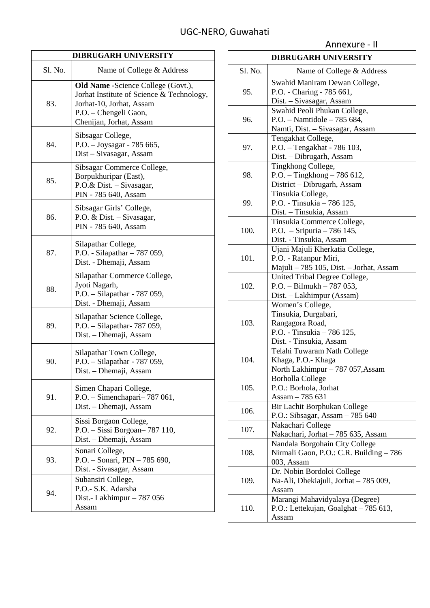| <b>DIBRUGARH UNIVERSITY</b> |                                                                                                                                                                  |  |
|-----------------------------|------------------------------------------------------------------------------------------------------------------------------------------------------------------|--|
| Sl. No.                     | Name of College & Address                                                                                                                                        |  |
| 83.                         | Old Name - Science College (Govt.),<br>Jorhat Institute of Science & Technology,<br>Jorhat-10, Jorhat, Assam<br>P.O. - Chengeli Gaon,<br>Chenijan, Jorhat, Assam |  |
| 84.                         | Sibsagar College,<br>P.O. - Joysagar - 785 665,<br>Dist - Sivasagar, Assam                                                                                       |  |
| 85.                         | Sibsagar Commerce College,<br>Borpukhuripar (East),<br>P.O.& Dist. - Sivasagar,<br>PIN - 785 640, Assam                                                          |  |
| 86.                         | Sibsagar Girls' College,<br>P.O. & Dist. - Sivasagar,<br>PIN - 785 640, Assam                                                                                    |  |
| 87.                         | Silapathar College,<br>P.O. - Silapathar - 787 059,<br>Dist. - Dhemaji, Assam                                                                                    |  |
| 88.                         | Silapathar Commerce College,<br>Jyoti Nagarh,<br>P.O. - Silapathar - 787 059,<br>Dist. - Dhemaji, Assam                                                          |  |
| 89.                         | Silapathar Science College,<br>P.O. - Silapathar- 787 059,<br>Dist. - Dhemaji, Assam                                                                             |  |
| 90.                         | Silapathar Town College,<br>P.O. - Silapathar - 787 059,<br>Dist. - Dhemaji, Assam                                                                               |  |
| 91.                         | Simen Chapari College,<br>P.O. - Simenchapari-787 061,<br>Dist. – Dhemaji, Assam                                                                                 |  |
| 92.                         | Sissi Borgaon College,<br>P.O. - Sissi Borgoan - 787 110,<br>Dist. - Dhemaji, Assam                                                                              |  |
|                             | Sonari College,                                                                                                                                                  |  |

P.O. – Sonari, PIN – 785 690, Dist. - Sivasagar, Assam

Dist.- Lakhimpur – 787 056

Subansiri College, P.O.- S.K. Adarsha

Assam

93.

94.

| <b>DIBRUGARH UNIVERSITY</b> |                                         |
|-----------------------------|-----------------------------------------|
| Sl. No.                     | Name of College & Address               |
| 95.                         | Swahid Maniram Dewan College,           |
|                             | P.O. - Charing - 785 661,               |
|                             | Dist. - Sivasagar, Assam                |
|                             | Swahid Peoli Phukan College,            |
| 96.                         | P.O. - Namtidole - 785 684,             |
|                             | Namti, Dist. - Sivasagar, Assam         |
|                             | Tengakhat College,                      |
| 97.                         | P.O. - Tengakhat - 786 103,             |
|                             | Dist. - Dibrugarh, Assam                |
|                             | Tingkhong College,                      |
| 98.                         | P.O. - Tingkhong - 786 612,             |
|                             | District - Dibrugarh, Assam             |
|                             | Tinsukia College,                       |
| 99.                         | P.O. - Tinsukia - 786 125,              |
|                             | Dist. - Tinsukia, Assam                 |
|                             | Tinsukia Commerce College,              |
| 100.                        | P.O. $-$ Sripuria $-786$ 145,           |
|                             | Dist. - Tinsukia, Assam                 |
|                             | Ujani Majuli Kherkatia College,         |
| 101.                        | P.O. - Ratanpur Miri,                   |
|                             | Majuli - 785 105, Dist. - Jorhat, Assam |
|                             | United Tribal Degree College,           |
| 102.                        | $P.O. - Bilmukh - 787053,$              |
|                             | Dist. - Lakhimpur (Assam)               |
|                             | Women's College,                        |
|                             | Tinsukia, Durgabari,                    |
| 103.                        | Rangagora Road,                         |
|                             | P.O. - Tinsukia - 786 125,              |
|                             | Dist. - Tinsukia, Assam                 |
|                             | Telahi Tuwaram Nath College             |
| 104.                        | Khaga, P.O.- Khaga                      |
|                             | North Lakhimpur - 787 057, Assam        |
|                             | <b>Borholla College</b>                 |
| 105.                        | P.O.: Borhola, Jorhat                   |
|                             | Assam - 785 631                         |
|                             | Bir Lachit Borphukan College            |
| 106.                        | P.O.: Sibsagar, Assam - 785 640         |
|                             | Nakachari College                       |
| 107.                        | Nakachari, Jorhat - 785 635, Assam      |
|                             | Nandala Borgohain City College          |
| 108.                        | Nirmali Gaon, P.O.: C.R. Building - 786 |
|                             | 003, Assam                              |
|                             | Dr. Nobin Bordoloi College              |
| 109.                        | Na-Ali, Dhekiajuli, Jorhat – 785 009,   |
|                             | Assam                                   |
|                             | Marangi Mahavidyalaya (Degree)          |
| 110.                        | P.O.: Lettekujan, Goalghat - 785 613,   |
|                             | Assam                                   |
|                             |                                         |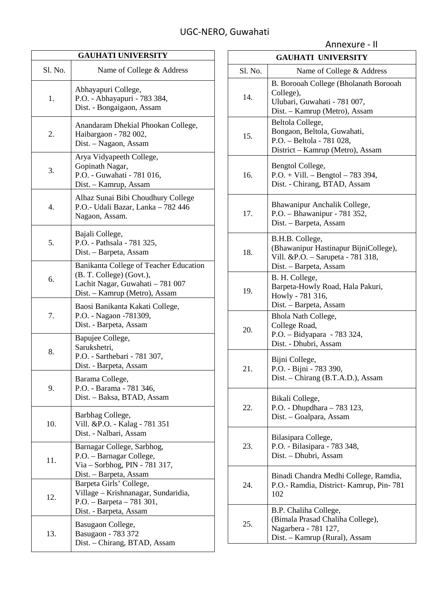| <b>GAUHATI UNIVERSITY</b> |                                                                                                                                         |  |
|---------------------------|-----------------------------------------------------------------------------------------------------------------------------------------|--|
| Sl. No.                   | Name of College & Address                                                                                                               |  |
| 1.                        | Abhayapuri College,<br>P.O. - Abhayapuri - 783 384,<br>Dist. - Bongaigaon, Assam                                                        |  |
| 2.                        | Anandaram Dhekial Phookan College,<br>Haibargaon - 782 002,<br>Dist. - Nagaon, Assam                                                    |  |
| 3.                        | Arya Vidyapeeth College,<br>Gopinath Nagar,<br>P.O. - Guwahati - 781 016,<br>Dist. - Kamrup, Assam                                      |  |
| 4.                        | Alhaz Sunai Bibi Choudhury College<br>P.O.- Udali Bazar, Lanka - 782 446<br>Nagaon, Assam.                                              |  |
| 5.                        | Bajali College,<br>P.O. - Pathsala - 781 325,<br>Dist. - Barpeta, Assam                                                                 |  |
| 6.                        | Banikanta College of Teacher Education<br>(B. T. College) (Govt.),<br>Lachit Nagar, Guwahati - 781 007<br>Dist. - Kamrup (Metro), Assam |  |
| 7.                        | Baosi Banikanta Kakati College,<br>P.O. - Nagaon -781309,<br>Dist. - Barpeta, Assam                                                     |  |
| 8.                        | Bapujee College,<br>Sarukshetri,<br>P.O. - Sarthebari - 781 307,<br>Dist. - Barpeta, Assam                                              |  |
| 9.                        | Barama College,<br>P.O. - Barama - 781 346,<br>Dist. - Baksa, BTAD, Assam                                                               |  |
| 10.                       | Barbhag College,<br>Vill. & P.O. - Kalag - 781 351<br>Dist. - Nalbari, Assam                                                            |  |
| 11.                       | Barnagar College, Sarbhog,<br>P.O. - Barnagar College,<br>Via - Sorbhog, PIN - 781 317,<br>Dist. – Barpeta, Assam                       |  |
| 12.                       | Barpeta Girls' College,<br>Village - Krishnanagar, Sundaridia,<br>$P.O. - Barpeta - 781301,$<br>Dist. - Barpeta, Assam                  |  |
| 13.                       | Basugaon College,<br>Basugaon - 783 372<br>Dist. - Chirang, BTAD, Assam                                                                 |  |

|         | <b>GAUHATI UNIVERSITY</b>                                                                                               |
|---------|-------------------------------------------------------------------------------------------------------------------------|
| Sl. No. | Name of College & Address                                                                                               |
| 14.     | B. Borooah College (Bholanath Borooah<br>College),<br>Ulubari, Guwahati - 781 007,<br>Dist. - Kamrup (Metro), Assam     |
| 15.     | Beltola College,<br>Bongaon, Beltola, Guwahati,<br>P.O. - Beltola - 781 028,<br>District - Kamrup (Metro), Assam        |
| 16.     | Bengtol College,<br>$P.O. + Vill. - Bengtol - 783394,$<br>Dist. - Chirang, BTAD, Assam                                  |
| 17.     | Bhawanipur Anchalik College,<br>P.O. - Bhawanipur - 781 352,<br>Dist. - Barpeta, Assam                                  |
| 18.     | B.H.B. College,<br>(Bhawanipur Hastinapur BijniCollege),<br>Vill. &P.O. - Sarupeta - 781 318,<br>Dist. - Barpeta, Assam |
| 19.     | B. H. College,<br>Barpeta-Howly Road, Hala Pakuri,<br>Howly - 781 316,<br>Dist. - Barpeta, Assam                        |
| 20.     | Bhola Nath College,<br>College Road,<br>P.O. - Bidyapara - 783 324,<br>Dist. - Dhubri, Assam                            |
| 21.     | Bijni College,<br>P.O. - Bijni - 783 390,<br>Dist. - Chirang (B.T.A.D.), Assam                                          |
| 22.     | Bikali College,<br>P.O. - Dhupdhara - 783 123,<br>Dist. - Goalpara, Assam                                               |
| 23.     | Bilasipara College,<br>P.O. - Bilasipara - 783 348,<br>Dist. - Dhubri, Assam                                            |
| 24.     | Binadi Chandra Medhi College, Ramdia,<br>P.O.- Ramdia, District- Kamrup, Pin-781<br>102                                 |
| 25.     | B.P. Chaliha College,<br>(Bimala Prasad Chaliha College),<br>Nagarbera - 781 127,<br>Dist. – Kamrup (Rural), Assam      |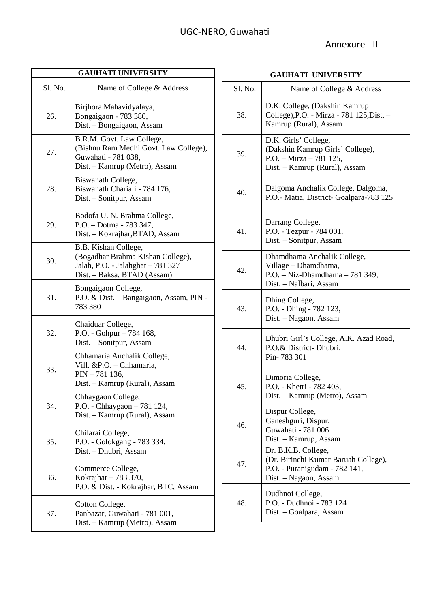| <b>GAUHATI UNIVERSITY</b> |                                                                                                                               |  |
|---------------------------|-------------------------------------------------------------------------------------------------------------------------------|--|
| S1. No.                   | Name of College & Address                                                                                                     |  |
| 26.                       | Birjhora Mahavidyalaya,<br>Bongaigaon - 783 380,<br>Dist. - Bongaigaon, Assam                                                 |  |
| 27.                       | B.R.M. Govt. Law College,<br>(Bishnu Ram Medhi Govt. Law College),<br>Guwahati - 781 038,<br>Dist. – Kamrup (Metro), Assam    |  |
| 28.                       | Biswanath College,<br>Biswanath Chariali - 784 176,<br>Dist. – Sonitpur, Assam                                                |  |
| 29.                       | Bodofa U. N. Brahma College,<br>P.O. - Dotma - 783 347,<br>Dist. – Kokrajhar, BTAD, Assam                                     |  |
| 30.                       | B.B. Kishan College,<br>(Bogadhar Brahma Kishan College),<br>Jalah, P.O. - Jalahghat - 781 327<br>Dist. - Baksa, BTAD (Assam) |  |
| 31.                       | Bongaigaon College,<br>P.O. & Dist. - Bangaigaon, Assam, PIN -<br>783 380                                                     |  |
| 32.                       | Chaiduar College,<br>P.O. - Gohpur - 784 168,<br>Dist. - Sonitpur, Assam                                                      |  |
| 33.                       | Chhamaria Anchalik College,<br>Vill. &P.O. - Chhamaria,<br>PIN - 781 136,<br>Dist. - Kamrup (Rural), Assam                    |  |
| 34.                       | Chhaygaon College,<br>P.O. - Chhaygaon - 781 124,<br>Dist. - Kamrup (Rural), Assam                                            |  |
| 35.                       | Chilarai College,<br>P.O. - Golokgang - 783 334,<br>Dist. - Dhubri, Assam                                                     |  |
| 36.                       | Commerce College,<br>Kokrajhar - 783 370,<br>P.O. & Dist. - Kokrajhar, BTC, Assam                                             |  |
| 37.                       | Cotton College,<br>Panbazar, Guwahati - 781 001,<br>Dist. – Kamrup (Metro), Assam                                             |  |

| <b>GAUHATI UNIVERSITY</b> |                                                                                                                       |
|---------------------------|-----------------------------------------------------------------------------------------------------------------------|
| Sl. No.                   | Name of College & Address                                                                                             |
| 38.                       | D.K. College, (Dakshin Kamrup<br>College), P.O. - Mirza - 781 125, Dist. -<br>Kamrup (Rural), Assam                   |
| 39.                       | D.K. Girls' College,<br>(Dakshin Kamrup Girls' College),<br>P.O. - Mirza - 781 125,<br>Dist. - Kamrup (Rural), Assam  |
| 40.                       | Dalgoma Anchalik College, Dalgoma,<br>P.O.- Matia, District-Goalpara-783 125                                          |
| 41.                       | Darrang College,<br>P.O. - Tezpur - 784 001,<br>Dist. – Sonitpur, Assam                                               |
| 42.                       | Dhamdhama Anchalik College,<br>Village - Dhamdhama,<br>P.O. - Niz-Dhamdhama - 781 349,<br>Dist. - Nalbari, Assam      |
| 43.                       | Dhing College,<br>P.O. - Dhing - 782 123,<br>Dist. - Nagaon, Assam                                                    |
| 44.                       | Dhubri Girl's College, A.K. Azad Road,<br>P.O.& District-Dhubri,<br>Pin-783 301                                       |
| 45.                       | Dimoria College,<br>P.O. - Khetri - 782 403,<br>Dist. – Kamrup (Metro), Assam                                         |
| 46.                       | Dispur College,<br>Ganeshguri, Dispur,<br>Guwahati - 781 006<br>Dist. - Kamrup, Assam                                 |
| 47.                       | Dr. B.K.B. College,<br>(Dr. Birinchi Kumar Baruah College),<br>P.O. - Puranigudam - 782 141,<br>Dist. - Nagaon, Assam |
| 48.                       | Dudhnoi College,<br>P.O. - Dudhnoi - 783 124<br>Dist. - Goalpara, Assam                                               |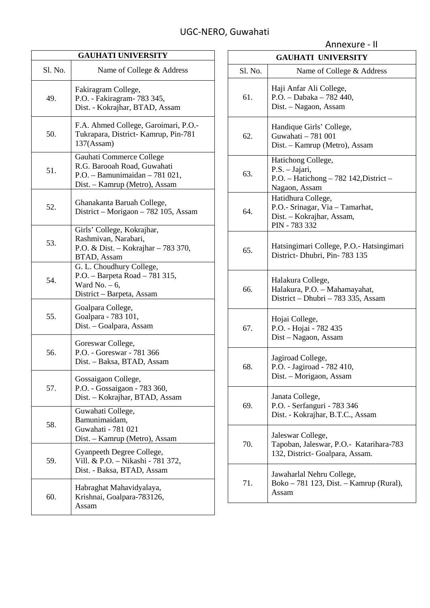| <b>GAUHATI UNIVERSITY</b> |                                                                                                                             |  |
|---------------------------|-----------------------------------------------------------------------------------------------------------------------------|--|
| Sl. No.                   | Name of College & Address                                                                                                   |  |
| 49.                       | Fakiragram College,<br>P.O. - Fakiragram- 783 345,<br>Dist. - Kokrajhar, BTAD, Assam                                        |  |
| 50.                       | F.A. Ahmed College, Garoimari, P.O.-<br>Tukrapara, District-Kamrup, Pin-781<br>137(Assam)                                   |  |
| 51.                       | Gauhati Commerce College<br>R.G. Barooah Road, Guwahati<br>P.O. - Bamunimaidan $-781021$ ,<br>Dist. – Kamrup (Metro), Assam |  |
| 52.                       | Ghanakanta Baruah College,<br>District – Morigaon – 782 105, Assam                                                          |  |
| 53.                       | Girls' College, Kokrajhar,<br>Rashmivan, Narabari,<br>P.O. & Dist. - Kokrajhar - 783 370,<br>BTAD, Assam                    |  |
| 54.                       | G. L. Choudhury College,<br>P.O. - Barpeta Road - 781 315,<br>Ward No. $-6$ ,<br>District - Barpeta, Assam                  |  |
| 55.                       | Goalpara College,<br>Goalpara - 783 101,<br>Dist. - Goalpara, Assam                                                         |  |
| 56.                       | Goreswar College,<br>P.O. - Goreswar - 781 366<br>Dist. - Baksa, BTAD, Assam                                                |  |
| 57.                       | Gossaigaon College,<br>P.O. - Gossaigaon - 783 360,<br>Dist. - Kokrajhar, BTAD, Assam                                       |  |
| 58.                       | Guwahati College,<br>Bamunimaidam,<br>Guwahati - 781 021<br>Dist. - Kamrup (Metro), Assam                                   |  |
| 59.                       | Gyanpeeth Degree College,<br>Vill. & P.O. - Nikashi - 781 372,<br>Dist. - Baksa, BTAD, Assam                                |  |
| 60.                       | Habraghat Mahavidyalaya,<br>Krishnai, Goalpara-783126,<br>Assam                                                             |  |

| <b>GAUHATI UNIVERSITY</b> |                                                                                                     |  |
|---------------------------|-----------------------------------------------------------------------------------------------------|--|
| Sl. No.                   | Name of College & Address                                                                           |  |
| 61.                       | Haji Anfar Ali College,<br>P.O. - Dabaka - 782 440,<br>Dist. - Nagaon, Assam                        |  |
| 62.                       | Handique Girls' College,<br>Guwahati - 781 001<br>Dist. - Kamrup (Metro), Assam                     |  |
| 63.                       | Hatichong College,<br>P.S. - Jajari,<br>P.O. - Hatichong - 782 142, District -<br>Nagaon, Assam     |  |
| 64.                       | Hatidhura College,<br>P.O.- Srinagar, Via - Tamarhat,<br>Dist. - Kokrajhar, Assam,<br>PIN - 783 332 |  |
| 65.                       | Hatsingimari College, P.O.- Hatsingimari<br>District- Dhubri, Pin- 783 135                          |  |
| 66.                       | Halakura College,<br>Halakura, P.O. - Mahamayahat,<br>District – Dhubri – 783 335, Assam            |  |
| 67.                       | Hojai College,<br>P.O. - Hojai - 782 435<br>Dist - Nagaon, Assam                                    |  |
| 68.                       | Jagiroad College,<br>P.O. - Jagiroad - 782 410,<br>Dist. – Morigaon, Assam                          |  |
| 69.                       | Janata College,<br>P.O. - Serfanguri - 783 346<br>Dist. - Kokrajhar, B.T.C., Assam                  |  |
| 70.                       | Jaleswar College,<br>Tapoban, Jaleswar, P.O.- Katarihara-783<br>132, District- Goalpara, Assam.     |  |
| 71.                       | Jawaharlal Nehru College,<br>Boko – 781 123, Dist. – Kamrup (Rural),<br>Assam                       |  |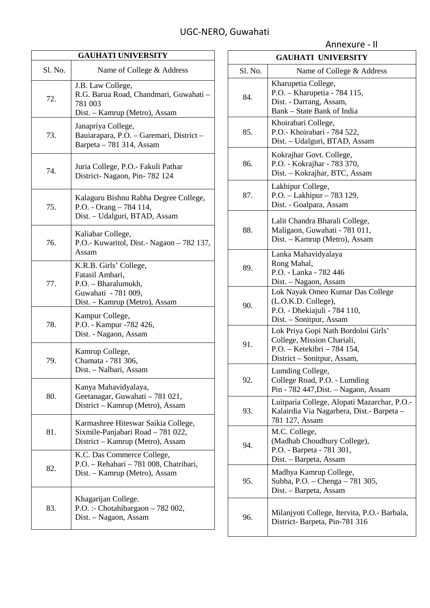**GAUHATI UNIVERSITY** Sl. No. Name of College & Address 72. J.B. Law College, R.G. Barua Road, Chandmari, Guwahati – 781 003 Dist. – Kamrup (Metro), Assam 73. Janapriya College, Bauiarapara, P.O. – Garemari, District – Barpeta – 781 314, Assam 74. Juria College, P.O.- Fakuli Pathar District- Nagaon, Pin- 782 124 75. Kalaguru Bishnu Rabha Degree College, P.O. - Orang – 784 114, Dist. – Udalguri, BTAD, Assam 76. Kaliabar College, P.O.- Kuwaritol, Dist.- Nagaon – 782 137, Assam 77. K.R.B. Girls' College, Fatasil Ambari, P.O. – Bharalumukh, Guwahati - 781 009, Dist. – Kamrup (Metro), Assam 78. Kampur College, P.O. - Kampur -782 426, Dist. - Nagaon, Assam 79. Kamrup College, Chamata - 781 306, Dist. – Nalbari, Assam 80. Kanya Mahavidyalaya, Geetanagar, Guwahati – 781 021, District – Kamrup (Metro), Assam 81. Karmashree Hiteswar Saikia College, Sixmile-Panjabari Road – 781 022, District – Kamrup (Metro), Assam 82. K.C. Das Commerce College, P.O. – Rehabari – 781 008, Chatribari, Dist. – Kamrup (Metro), Assam 83. Khagarijan College. P.O. :- Chotahibargaon – 782 002, Dist. – Nagaon, Assam

|         | Annexure - II                                                                                                                   |
|---------|---------------------------------------------------------------------------------------------------------------------------------|
|         | <b>GAUHATI UNIVERSITY</b>                                                                                                       |
| Sl. No. | Name of College & Address                                                                                                       |
| 84.     | Kharupetia College,<br>P.O. - Kharupetia - 784 115,<br>Dist. - Darrang, Assam,<br>Bank - State Bank of India                    |
| 85.     | Khoirabari College,<br>P.O. - Khoirabari - 784 522,<br>Dist. - Udalguri, BTAD, Assam                                            |
| 86.     | Kokrajhar Govt. College,<br>P.O. - Kokrajhar - 783 370,<br>Dist. - Kokrajhar, BTC, Assam                                        |
| 87.     | Lakhipur College,<br>P.O. - Lakhipur - 783 129,<br>Dist. - Goalpara, Assam                                                      |
| 88.     | Lalit Chandra Bharali College,<br>Maligaon, Guwahati - 781 011,<br>Dist. - Kamrup (Metro), Assam                                |
| 89.     | Lanka Mahavidyalaya<br>Rong Mahal,<br>P.O. - Lanka - 782 446<br>Dist. – Nagaon, Assam                                           |
| 90.     | Lok Nayak Omeo Kumar Das College<br>(L.O.K.D. College),<br>P.O. - Dhekiajuli - 784 110,<br>Dist. - Sonitpur, Assam              |
| 91.     | Lok Priya Gopi Nath Bordoloi Girls'<br>College, Mission Chariali,<br>P.O. - Ketekibri - 784 154,<br>District - Sonitpur, Assam, |
| 92.     | Lumding College,<br>College Road, P.O. - Lumding<br>Pin - 782 447, Dist. - Nagaon, Assam                                        |
| 93.     | Luitparia College, Alopati Mazarchar, P.O.-<br>Kalairdia Via Nagarbera, Dist.- Barpeta -<br>781 127, Assam                      |
| 94.     | M.C. College,<br>(Madhab Choudhury College),<br>P.O. - Barpeta - 781 301,<br>Dist. - Barpeta, Assam                             |
| 95.     | Madhya Kamrup College,<br>Subha, P.O. - Chenga - 781 305,<br>Dist. – Barpeta, Assam                                             |
| 96.     | Milanjyoti College, Itervita, P.O.- Barbala,<br>District-Barpeta, Pin-781 316                                                   |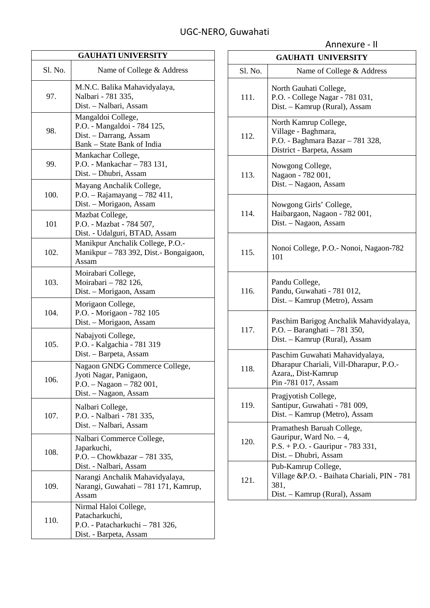$\mathbf{r}$ 

| <b>GAUHATI UNIVERSITY</b> |                                                                                                              |  |
|---------------------------|--------------------------------------------------------------------------------------------------------------|--|
| Sl. No.                   | Name of College & Address                                                                                    |  |
| 97.                       | M.N.C. Balika Mahavidyalaya,<br>Nalbari - 781 335,<br>Dist. - Nalbari, Assam                                 |  |
| 98.                       | Mangaldoi College,<br>P.O. - Mangaldoi - 784 125,<br>Dist. - Darrang, Assam<br>Bank - State Bank of India    |  |
| 99.                       | Mankachar College,<br>P.O. - Mankachar - 783 131,<br>Dist. - Dhubri, Assam                                   |  |
| 100.                      | Mayang Anchalik College,<br>P.O. - Rajamayang $-782411$ ,<br>Dist. - Morigaon, Assam                         |  |
| 101                       | Mazbat College,<br>P.O. - Mazbat - 784 507,<br>Dist. - Udalguri, BTAD, Assam                                 |  |
| 102.                      | Manikpur Anchalik College, P.O.-<br>Manikpur – 783 392, Dist.- Bongaigaon,<br>Assam                          |  |
| 103.                      | Moirabari College,<br>Moirabari - 782 126,<br>Dist. – Morigaon, Assam                                        |  |
| 104.                      | Morigaon College,<br>P.O. - Morigaon - 782 105<br>Dist. – Morigaon, Assam                                    |  |
| 105.                      | Nabajyoti College,<br>P.O. - Kalgachia - 781 319<br>Dist. - Barpeta, Assam                                   |  |
| 106.                      | Nagaon GNDG Commerce College,<br>Jyoti Nagar, Panigaon,<br>P.O. - Nagaon - 782 001,<br>Dist. – Nagaon, Assam |  |
| 107.                      | Nalbari College,<br>P.O. - Nalbari - 781 335,<br>Dist. - Nalbari, Assam                                      |  |
| 108.                      | Nalbari Commerce College,<br>Japarkuchi,<br>P.O. - Chowkbazar - 781 335,<br>Dist. - Nalbari, Assam           |  |
| 109.                      | Narangi Anchalik Mahavidyalaya,<br>Narangi, Guwahati - 781 171, Kamrup,<br>Assam                             |  |
| 110.                      | Nirmal Haloi College,<br>Patacharkuchi,<br>P.O. - Patacharkuchi - 781 326,<br>Dist. - Barpeta, Assam         |  |

| <b>GAUHATI UNIVERSITY</b> |                                                                                                                          |
|---------------------------|--------------------------------------------------------------------------------------------------------------------------|
| Sl. No.                   | Name of College & Address                                                                                                |
| 111.                      | North Gauhati College,<br>P.O. - College Nagar - 781 031,<br>Dist. - Kamrup (Rural), Assam                               |
| 112.                      | North Kamrup College,<br>Village - Baghmara,<br>P.O. - Baghmara Bazar - 781 328,<br>District - Barpeta, Assam            |
| 113.                      | Nowgong College,<br>Nagaon - 782 001,<br>Dist. - Nagaon, Assam                                                           |
| 114.                      | Nowgong Girls' College,<br>Haibargaon, Nagaon - 782 001,<br>Dist. - Nagaon, Assam                                        |
| 115.                      | Nonoi College, P.O. - Nonoi, Nagaon-782<br>101                                                                           |
| 116.                      | Pandu College,<br>Pandu, Guwahati - 781 012,<br>Dist. - Kamrup (Metro), Assam                                            |
| 117.                      | Paschim Barigog Anchalik Mahavidyalaya,<br>P.O. - Baranghati - 781 350,<br>Dist. - Kamrup (Rural), Assam                 |
| 118.                      | Paschim Guwahati Mahavidyalaya,<br>Dharapur Chariali, Vill-Dharapur, P.O.-<br>Azara,, Dist-Kamrup<br>Pin -781 017, Assam |
| 119.                      | Pragjyotish College,<br>Santipur, Guwahati - 781 009,<br>Dist. – Kamrup (Metro), Assam                                   |
| 120.                      | Pramathesh Baruah College,<br>Gauripur, Ward No. $-4$ ,<br>$P.S. + P.O. - Gauripur - 783331,$<br>Dist. - Dhubri, Assam   |
| 121.                      | Pub-Kamrup College,<br>Village & P.O. - Baihata Chariali, PIN - 781<br>381,<br>Dist. - Kamrup (Rural), Assam             |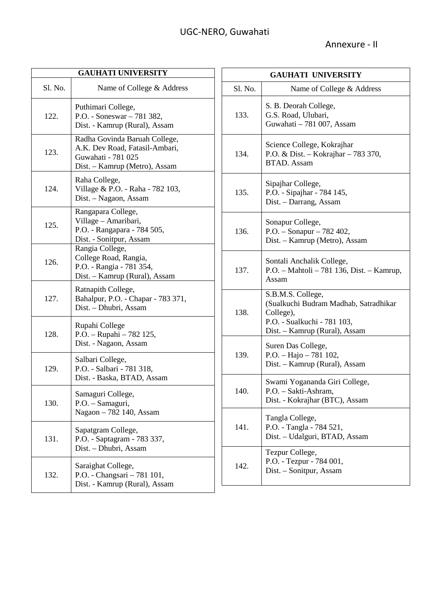| <b>GAUHATI UNIVERSITY</b> |                                                                                                                        |  |
|---------------------------|------------------------------------------------------------------------------------------------------------------------|--|
| S1. No.                   | Name of College & Address                                                                                              |  |
| 122.                      | Puthimari College,<br>P.O. - Soneswar - 781 382,<br>Dist. - Kamrup (Rural), Assam                                      |  |
| 123.                      | Radha Govinda Baruah College,<br>A.K. Dev Road, Fatasil-Ambari,<br>Guwahati - 781 025<br>Dist. - Kamrup (Metro), Assam |  |
| 124.                      | Raha College,<br>Village & P.O. - Raha - 782 103,<br>Dist. - Nagaon, Assam                                             |  |
| 125.                      | Rangapara College,<br>Village - Amaribari,<br>P.O. - Rangapara - 784 505,<br>Dist. - Sonitpur, Assam                   |  |
| 126.                      | Rangia College,<br>College Road, Rangia,<br>P.O. - Rangia - 781 354,<br>Dist. - Kamrup (Rural), Assam                  |  |
| 127.                      | Ratnapith College,<br>Bahalpur, P.O. - Chapar - 783 371,<br>Dist. - Dhubri, Assam                                      |  |
| 128.                      | Rupahi College<br>P.O. - Rupahi - 782 125,<br>Dist. - Nagaon, Assam                                                    |  |
| 129.                      | Salbari College,<br>P.O. - Salbari - 781 318,<br>Dist. - Baska, BTAD, Assam                                            |  |
| 130.                      | Samaguri College,<br>P.O. - Samaguri,<br>Nagaon - 782 140, Assam                                                       |  |
| 131.                      | Sapatgram College,<br>P.O. - Saptagram - 783 337,<br>Dist. – Dhubri, Assam                                             |  |
| 132.                      | Saraighat College,<br>P.O. - Changsari - 781 101,<br>Dist. - Kamrup (Rural), Assam                                     |  |

| <b>GAUHATI UNIVERSITY</b> |                                                                                                                                         |  |
|---------------------------|-----------------------------------------------------------------------------------------------------------------------------------------|--|
| Sl. No.                   | Name of College & Address                                                                                                               |  |
| 133.                      | S. B. Deorah College,<br>G.S. Road, Ulubari,<br>Guwahati - 781 007, Assam                                                               |  |
| 134.                      | Science College, Kokrajhar<br>P.O. & Dist. - Kokrajhar - 783 370,<br><b>BTAD.</b> Assam                                                 |  |
| 135.                      | Sipajhar College,<br>P.O. - Sipajhar - 784 145,<br>Dist. - Darrang, Assam                                                               |  |
| 136.                      | Sonapur College,<br>P.O. - Sonapur - 782 402,<br>Dist. - Kamrup (Metro), Assam                                                          |  |
| 137.                      | Sontali Anchalik College,<br>P.O. - Mahtoli - 781 136, Dist. - Kamrup,<br>Assam                                                         |  |
| 138.                      | S.B.M.S. College,<br>(Sualkuchi Budram Madhab, Satradhikar<br>College),<br>P.O. - Sualkuchi - 781 103,<br>Dist. – Kamrup (Rural), Assam |  |
| 139.                      | Suren Das College,<br>P.O. - Hajo - 781 102,<br>Dist. - Kamrup (Rural), Assam                                                           |  |
| 140.                      | Swami Yogananda Giri College,<br>P.O. - Sakti-Ashram,<br>Dist. - Kokrajhar (BTC), Assam                                                 |  |
| 141.                      | Tangla College,<br>P.O. - Tangla - 784 521,<br>Dist. - Udalguri, BTAD, Assam                                                            |  |
| 142.                      | Tezpur College,<br>P.O. - Tezpur - 784 001,<br>Dist. – Sonitpur, Assam                                                                  |  |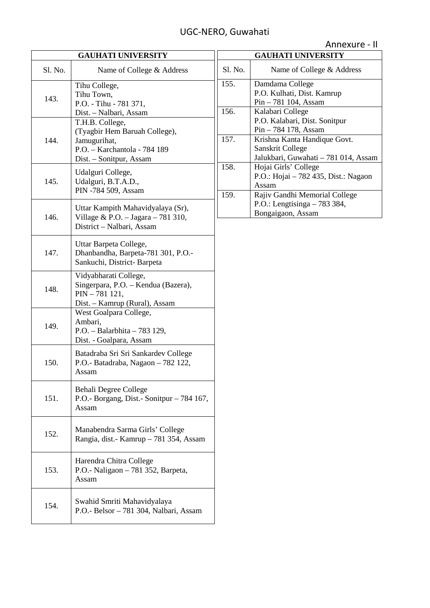| Annexure - II |  |
|---------------|--|
|---------------|--|

| <b>GAUHATI UNIVERSITY</b> |                                                                                                                             |                |
|---------------------------|-----------------------------------------------------------------------------------------------------------------------------|----------------|
| Sl. No.                   | Name of College & Address                                                                                                   | S <sub>1</sub> |
| 143.                      | Tihu College,<br>Tihu Town,<br>P.O. - Tihu - 781 371,<br>Dist. - Nalbari, Assam                                             | 15<br>15       |
| 144.                      | T.H.B. College,<br>(Tyagbir Hem Baruah College),<br>Jamugurihat,<br>P.O. - Karchantola - 784 189<br>Dist. - Sonitpur, Assam | 15             |
| 145.                      | Udalguri College,<br>Udalguri, B.T.A.D.,<br>PIN -784 509, Assam                                                             | 15<br>15       |
| 146.                      | Uttar Kampith Mahavidyalaya (Sr),<br>Village & P.O. $-$ Jagara $-781310$ ,<br>District - Nalbari, Assam                     |                |
| 147.                      | Uttar Barpeta College,<br>Dhanbandha, Barpeta-781 301, P.O.-<br>Sankuchi, District-Barpeta                                  |                |
| 148.                      | Vidyabharati College,<br>Singerpara, P.O. - Kendua (Bazera),<br>PIN-781 121,<br>Dist. - Kamrup (Rural), Assam               |                |
| 149.                      | West Goalpara College,<br>Ambari,<br>P.O. - Balarbhita - 783 129,<br>Dist. - Goalpara, Assam                                |                |
| 150.                      | Batadraba Sri Sri Sankardev College<br>P.O.- Batadraba, Nagaon - 782 122,<br>Assam                                          |                |
| 151.                      | <b>Behali Degree College</b><br>P.O.- Borgang, Dist.- Sonitpur - 784 167,<br>Assam                                          |                |
| 152.                      | Manabendra Sarma Girls' College<br>Rangia, dist.- Kamrup - 781 354, Assam                                                   |                |
| 153.                      | Harendra Chitra College<br>P.O.- Naligaon - 781 352, Barpeta,<br>Assam                                                      |                |
| 154.                      | Swahid Smriti Mahavidyalaya<br>P.O.- Belsor - 781 304, Nalbari, Assam                                                       |                |

| <b>GAUHATI UNIVERSITY</b> |                                      |
|---------------------------|--------------------------------------|
| Sl. No.                   | Name of College & Address            |
| 155.                      | Damdama College                      |
|                           | P.O. Kulhati, Dist. Kamrup           |
|                           | Pin - 781 104, Assam                 |
| 156.                      | Kalabari College                     |
|                           | P.O. Kalabari, Dist. Sonitpur        |
|                           | Pin – 784 178, Assam                 |
| 157.                      | Krishna Kanta Handique Govt.         |
|                           | Sanskrit College                     |
|                           | Jalukbari, Guwahati - 781 014, Assam |
| 158.                      | Hojai Girls' College                 |
|                           | P.O.: Hojai - 782 435, Dist.: Nagaon |
|                           | Assam                                |
| 159.                      | Rajiv Gandhi Memorial College        |
|                           | P.O.: Lengtisinga $-783334$ ,        |
|                           | Bongaigaon, Assam                    |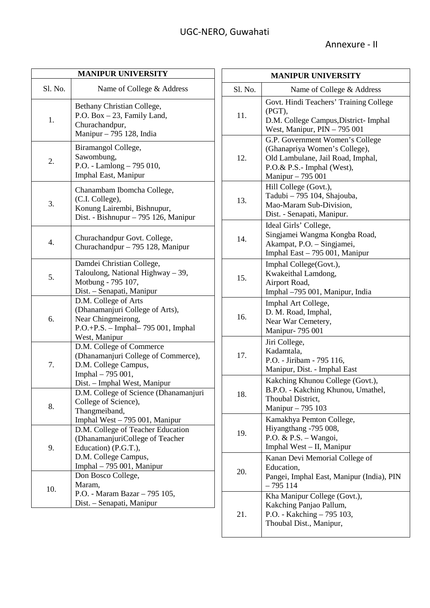| <b>MANIPUR UNIVERSITY</b> |                                                                                                                                                   |  |
|---------------------------|---------------------------------------------------------------------------------------------------------------------------------------------------|--|
| Sl. No.                   | Name of College & Address                                                                                                                         |  |
| 1.                        | Bethany Christian College,<br>P.O. Box - 23, Family Land,<br>Churachandpur,<br>Manipur - 795 128, India                                           |  |
| 2.                        | Biramangol College,<br>Sawombung,<br>P.O. - Lamlong - 795 010,<br>Imphal East, Manipur                                                            |  |
| 3.                        | Chanambam Ibomcha College,<br>(C.I. College),<br>Konung Lairembi, Bishnupur,<br>Dist. - Bishnupur - 795 126, Manipur                              |  |
| 4.                        | Churachandpur Govt. College,<br>Churachandpur - 795 128, Manipur                                                                                  |  |
| 5.                        | Damdei Christian College,<br>Taloulong, National Highway - 39,<br>Motbung - 795 107,<br>Dist. – Senapati, Manipur                                 |  |
| 6.                        | D.M. College of Arts<br>(Dhanamanjuri College of Arts),<br>Near Chingmeirong,<br>P.O.+P.S. - Imphal-795 001, Imphal<br>West, Manipur              |  |
| 7.                        | D.M. College of Commerce<br>(Dhanamanjuri College of Commerce),<br>D.M. College Campus,<br>Imphal - 795 001,<br>Dist. - Imphal West, Manipur      |  |
| 8.                        | D.M. College of Science (Dhanamanjuri<br>College of Science),<br>Thangmeiband,<br>Imphal West - 795 001, Manipur                                  |  |
| 9.                        | D.M. College of Teacher Education<br>(DhanamanjuriCollege of Teacher<br>Education) (P.G.T.),<br>D.M. College Campus,<br>Imphal – 795 001, Manipur |  |
| 10.                       | Don Bosco College,<br>Maram,<br>P.O. - Maram Bazar - 795 105,<br>Dist. - Senapati, Manipur                                                        |  |

| <b>MANIPUR UNIVERSITY</b> |                                                                                                                                                          |  |
|---------------------------|----------------------------------------------------------------------------------------------------------------------------------------------------------|--|
| Sl. No.                   | Name of College & Address                                                                                                                                |  |
| 11.                       | Govt. Hindi Teachers' Training College<br>$(PGT)$ ,<br>D.M. College Campus, District-Imphal<br>West, Manipur, PIN - 795 001                              |  |
| 12.                       | G.P. Government Women's College<br>(Ghanapriya Women's College),<br>Old Lambulane, Jail Road, Imphal,<br>P.O.& P.S.- Imphal (West),<br>Manipur - 795 001 |  |
| 13.                       | Hill College (Govt.),<br>Tadubi - 795 104, Shajouba,<br>Mao-Maram Sub-Division,<br>Dist. - Senapati, Manipur.                                            |  |
| 14.                       | Ideal Girls' College,<br>Singjamei Wangma Kongba Road,<br>Akampat, P.O. - Singjamei,<br>Imphal East - 795 001, Manipur                                   |  |
| 15.                       | Imphal College(Govt.),<br>Kwakeithal Lamdong,<br>Airport Road,<br>Imphal -795 001, Manipur, India                                                        |  |
| 16.                       | Imphal Art College,<br>D. M. Road, Imphal,<br>Near War Cemetery,<br>Manipur- 795 001                                                                     |  |
| 17.                       | Jiri College,<br>Kadamtala,<br>P.O. - Jiribam - 795 116,<br>Manipur, Dist. - Imphal East                                                                 |  |
| 18.                       | Kakching Khunou College (Govt.),<br>B.P.O. - Kakching Khunou, Umathel,<br>Thoubal District,<br>Manipur - 795 103                                         |  |
| 19.                       | Kamakhya Pemton College,<br>Hiyangthang -795 008,<br>P.O. & P.S. - Wangoi,<br>Imphal West - II, Manipur                                                  |  |
| 20.                       | Kanan Devi Memorial College of<br>Education,<br>Pangei, Imphal East, Manipur (India), PIN<br>- 795 114                                                   |  |
| 21.                       | Kha Manipur College (Govt.),<br>Kakching Panjao Pallum,<br>P.O. - Kakching – 795 103,<br>Thoubal Dist., Manipur,                                         |  |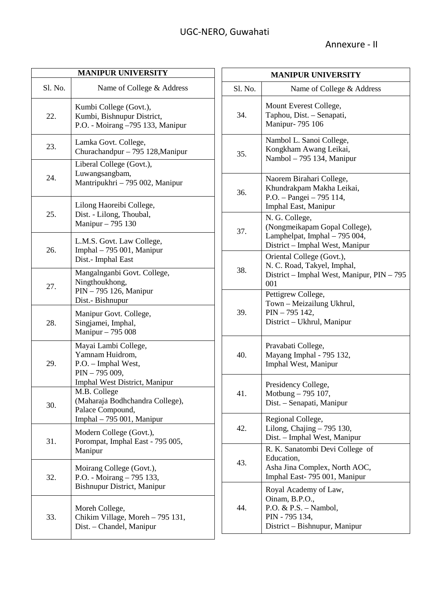| <b>MANIPUR UNIVERSITY</b> |                                                                                                                    |  |
|---------------------------|--------------------------------------------------------------------------------------------------------------------|--|
| Sl. No.                   | Name of College & Address                                                                                          |  |
| 22.                       | Kumbi College (Govt.),<br>Kumbi, Bishnupur District,<br>P.O. - Moirang -795 133, Manipur                           |  |
| 23.                       | Lamka Govt. College,<br>Churachandpur – 795 128, Manipur                                                           |  |
| 24.                       | Liberal College (Govt.),<br>Luwangsangbam,<br>Mantripukhri - 795 002, Manipur                                      |  |
| 25.                       | Lilong Haoreibi College,<br>Dist. - Lilong, Thoubal,<br>Manipur - 795 130                                          |  |
| 26.                       | L.M.S. Govt. Law College,<br>Imphal - 795 001, Manipur<br>Dist.- Imphal East                                       |  |
| 27.                       | Mangalnganbi Govt. College,<br>Ningthoukhong,<br>PIN - 795 126, Manipur<br>Dist.- Bishnupur                        |  |
| 28.                       | Manipur Govt. College,<br>Singjamei, Imphal,<br>Manipur - 795 008                                                  |  |
| 29.                       | Mayai Lambi College,<br>Yamnam Huidrom,<br>P.O. – Imphal West,<br>$PIN - 795009,$<br>Imphal West District, Manipur |  |
| 30.                       | M.B. College<br>(Maharaja Bodhchandra College),<br>Palace Compound,<br>Imphal – 795 001, Manipur                   |  |
| 31.                       | Modern College (Govt.),<br>Porompat, Imphal East - 795 005,<br>Manipur                                             |  |
| 32.                       | Moirang College (Govt.),<br>P.O. - Moirang - 795 133,<br>Bishnupur District, Manipur                               |  |
| 33.                       | Moreh College,<br>Chikim Village, Moreh – 795 131,<br>Dist. - Chandel, Manipur                                     |  |

| <b>MANIPUR UNIVERSITY</b> |                                                                                                                       |  |
|---------------------------|-----------------------------------------------------------------------------------------------------------------------|--|
| Sl. No.                   | Name of College & Address                                                                                             |  |
| 34.                       | Mount Everest College,<br>Taphou, Dist. - Senapati,<br>Manipur- 795 106                                               |  |
| 35.                       | Nambol L. Sanoi College,<br>Kongkham Awang Leikai,<br>Nambol - 795 134, Manipur                                       |  |
| 36.                       | Naorem Birahari College,<br>Khundrakpam Makha Leikai,<br>P.O. - Pangei - 795 114,<br>Imphal East, Manipur             |  |
| 37.                       | N. G. College,<br>(Nongmeikapam Gopal College),<br>Lamphelpat, Imphal - 795 004,<br>District - Imphal West, Manipur   |  |
| 38.                       | Oriental College (Govt.),<br>N. C. Road, Takyel, Imphal,<br>District - Imphal West, Manipur, PIN - 795<br>001         |  |
| 39.                       | Pettigrew College,<br>Town - Meizailung Ukhrul,<br>PIN - 795 142,<br>District - Ukhrul, Manipur                       |  |
| 40.                       | Pravabati College,<br>Mayang Imphal - 795 132,<br>Imphal West, Manipur                                                |  |
| 41.                       | Presidency College,<br>Motbung - 795 107,<br>Dist. – Senapati, Manipur                                                |  |
| 42.                       | Regional College,<br>Lilong, Chajing $-795$ 130,<br>Dist. - Imphal West, Manipur                                      |  |
| 43.                       | R. K. Sanatombi Devi College of<br>Education,<br>Asha Jina Complex, North AOC,<br>Imphal East-795 001, Manipur        |  |
| 44.                       | Royal Academy of Law,<br>Oinam, B.P.O.,<br>P.O. & P.S. $-$ Nambol,<br>PIN - 795 134,<br>District – Bishnupur, Manipur |  |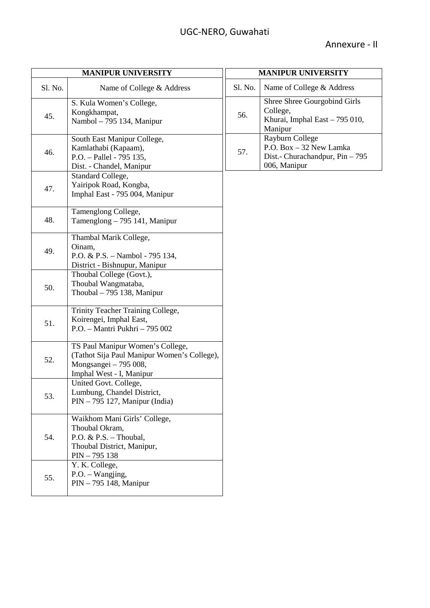| <b>MANIPUR UNIVERSITY</b> |                                                                                                                                      |         | <b>MANIPUR UNIVERSITY</b>                                                                     |
|---------------------------|--------------------------------------------------------------------------------------------------------------------------------------|---------|-----------------------------------------------------------------------------------------------|
| Sl. No.                   | Name of College & Address                                                                                                            | Sl. No. | Name of College & Address                                                                     |
| 45.                       | S. Kula Women's College,<br>Kongkhampat,<br>Nambol - 795 134, Manipur                                                                | 56.     | Shree Shree Gourgobind Girls<br>College,<br>Khurai, Imphal East - 795 010,<br>Manipur         |
| 46.                       | South East Manipur College,<br>Kamlathabi (Kapaam),<br>P.O. - Pallel - 795 135,<br>Dist. - Chandel, Manipur                          | 57.     | Rayburn College<br>P.O. Box - 32 New Lamka<br>Dist.- Churachandpur, Pin - 795<br>006, Manipur |
| 47.                       | Standard College,<br>Yairipok Road, Kongba,<br>Imphal East - 795 004, Manipur                                                        |         |                                                                                               |
| 48.                       | Tamenglong College,<br>Tamenglong - 795 141, Manipur                                                                                 |         |                                                                                               |
| 49.                       | Thambal Marik College,<br>Oinam,<br>P.O. & P.S. - Nambol - 795 134,<br>District - Bishnupur, Manipur                                 |         |                                                                                               |
| 50.                       | Thoubal College (Govt.),<br>Thoubal Wangmataba,<br>Thoubal $-795$ 138, Manipur                                                       |         |                                                                                               |
| 51.                       | Trinity Teacher Training College,<br>Koirengei, Imphal East,<br>P.O. - Mantri Pukhri - 795 002                                       |         |                                                                                               |
| 52.                       | TS Paul Manipur Women's College,<br>(Tathot Sija Paul Manipur Women's College),<br>Mongsangei - 795 008,<br>Imphal West - I, Manipur |         |                                                                                               |
| 53.                       | United Govt. College,<br>Lumbung, Chandel District,<br>$PIN - 795$ 127, Manipur (India)                                              |         |                                                                                               |
| 54.                       | Waikhom Mani Girls' College,<br>Thoubal Okram.<br>P.O. & P.S. - Thoubal,<br>Thoubal District, Manipur,<br>$PIN - 795138$             |         |                                                                                               |
| 55.                       | Y. K. College,<br>$P.O. - Wangjing,$<br>PIN - 795 148, Manipur                                                                       |         |                                                                                               |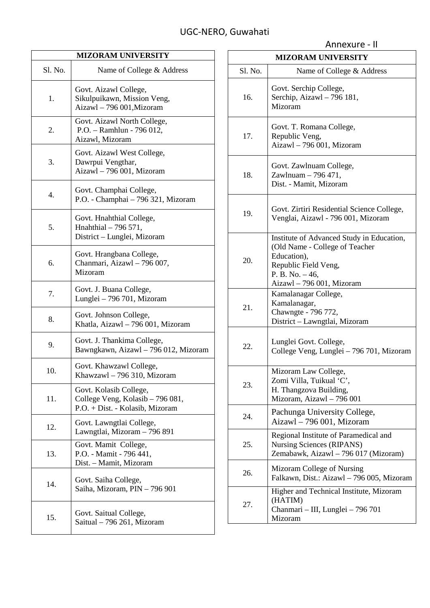| <b>MIZORAM UNIVERSITY</b> |                                                                                               |  |
|---------------------------|-----------------------------------------------------------------------------------------------|--|
| Sl. No.                   | Name of College & Address                                                                     |  |
| 1.                        | Govt. Aizawl College,<br>Sikulpuikawn, Mission Veng,<br>Aizawl - 796 001, Mizoram             |  |
| 2.                        | Govt. Aizawl North College,<br>P.O. - Ramhlun - 796 012,<br>Aizawl, Mizoram                   |  |
| 3.                        | Govt. Aizawl West College,<br>Dawrpui Vengthar,<br>Aizawl - 796 001, Mizoram                  |  |
| 4.                        | Govt. Champhai College,<br>P.O. - Champhai - 796 321, Mizoram                                 |  |
| 5.                        | Govt. Hnahthial College,<br>Hnahthial - 796 571,<br>District - Lunglei, Mizoram               |  |
| 6.                        | Govt. Hrangbana College,<br>Chanmari, Aizawl - 796 007,<br>Mizoram                            |  |
| 7.                        | Govt. J. Buana College,<br>Lunglei - 796 701, Mizoram                                         |  |
| 8.                        | Govt. Johnson College,<br>Khatla, Aizawl - 796 001, Mizoram                                   |  |
| 9.                        | Govt. J. Thankima College,<br>Bawngkawn, Aizawl - 796 012, Mizoram                            |  |
| 10.                       | Govt. Khawzawl College,<br>Khawzawl - 796 310, Mizoram                                        |  |
| 11.                       | Govt. Kolasib College,<br>College Veng, Kolasib - 796 081,<br>P.O. + Dist. - Kolasib, Mizoram |  |
| 12.                       | Govt. Lawngtlai College,<br>Lawngtlai, Mizoram - 796 891                                      |  |
| 13.                       | Govt. Mamit College,<br>P.O. - Mamit - 796 441,<br>Dist. – Mamit, Mizoram                     |  |
| 14.                       | Govt. Saiha College,<br>Saiha, Mizoram, PIN - 796 901                                         |  |
| 15.                       | Govt. Saitual College,<br>Saitual – 796 261, Mizoram                                          |  |

|                           | Annexure - II                                                                                                                                                        |  |
|---------------------------|----------------------------------------------------------------------------------------------------------------------------------------------------------------------|--|
| <b>MIZORAM UNIVERSITY</b> |                                                                                                                                                                      |  |
| Sl. No.                   | Name of College & Address                                                                                                                                            |  |
| 16.                       | Govt. Serchip College,<br>Serchip, Aizawl - 796 181,<br>Mizoram                                                                                                      |  |
| 17.                       | Govt. T. Romana College,<br>Republic Veng,<br>Aizawl - 796 001, Mizoram                                                                                              |  |
| 18.                       | Govt. Zawlnuam College,<br>Zawlnuam – 796 471,<br>Dist. - Mamit, Mizoram                                                                                             |  |
| 19.                       | Govt. Zirtiri Residential Science College,<br>Venglai, Aizawl - 796 001, Mizoram                                                                                     |  |
| 20.                       | Institute of Advanced Study in Education,<br>(Old Name - College of Teacher<br>Education),<br>Republic Field Veng,<br>P. B. No. $-46$ ,<br>Aizawl - 796 001, Mizoram |  |
| 21.                       | Kamalanagar College,<br>Kamalanagar,<br>Chawngte - 796 772,<br>District - Lawngtlai, Mizoram                                                                         |  |
| 22.                       | Lunglei Govt. College,<br>College Veng, Lunglei - 796 701, Mizoram                                                                                                   |  |
| 23.                       | Mizoram Law College,<br>Zomi Villa, Tuikual 'C',<br>H. Thangzova Building,<br>Mizoram, Aizawl - 796 001                                                              |  |
| 24.                       | Pachunga University College,<br>Aizawl - 796 001, Mizoram                                                                                                            |  |
| 25.                       | Regional Institute of Paramedical and<br><b>Nursing Sciences (RIPANS)</b><br>Zemabawk, Aizawl - 796 017 (Mizoram)                                                    |  |
| 26.                       | Mizoram College of Nursing<br>Falkawn, Dist.: Aizawl - 796 005, Mizoram                                                                                              |  |
| 27.                       | Higher and Technical Institute, Mizoram<br>(HATIM)<br>Chanmari - III, Lunglei - 796 701<br>Mizoram                                                                   |  |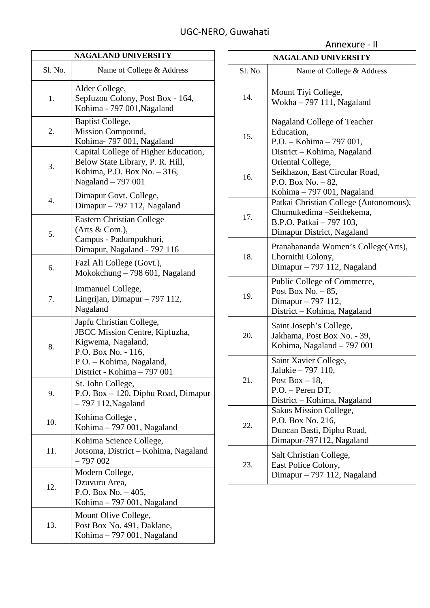| <b>NAGALAND UNIVERSITY</b> |                                                                                                                                                                    |  |
|----------------------------|--------------------------------------------------------------------------------------------------------------------------------------------------------------------|--|
| Sl. No.                    | Name of College & Address                                                                                                                                          |  |
| 1.                         | Alder College,<br>Sepfuzou Colony, Post Box - 164,<br>Kohima - 797 001, Nagaland                                                                                   |  |
| 2.                         | Baptist College,<br>Mission Compound,<br>Kohima-797 001, Nagaland                                                                                                  |  |
| 3.                         | Capital College of Higher Education,<br>Below State Library, P. R. Hill,<br>Kohima, P.O. Box No. - 316,<br>Nagaland - 797 001                                      |  |
| 4.                         | Dimapur Govt. College,<br>Dimapur $-797$ 112, Nagaland                                                                                                             |  |
| 5.                         | Eastern Christian College<br>(Arts $& Com.$ ),<br>Campus - Padumpukhuri,<br>Dimapur, Nagaland - 797 116                                                            |  |
| 6.                         | Fazl Ali College (Govt.),<br>Mokokchung – 798 601, Nagaland                                                                                                        |  |
| 7.                         | Immanuel College,<br>Lingrijan, Dimapur – 797 112,<br>Nagaland                                                                                                     |  |
| 8.                         | Japfu Christian College,<br>JBCC Mission Centre, Kipfuzha,<br>Kigwema, Nagaland,<br>P.O. Box No. - 116,<br>P.O. - Kohima, Nagaland,<br>District - Kohima - 797 001 |  |
| 9.                         | St. John College,<br>P.O. Box - 120, Diphu Road, Dimapur<br>$-797$ 112, Nagaland                                                                                   |  |
| 10.                        | Kohima College,<br>Kohima - 797 001, Nagaland                                                                                                                      |  |
| 11.                        | Kohima Science College,<br>Jotsoma, District - Kohima, Nagaland<br>$-797002$                                                                                       |  |
| 12.                        | Modern College,<br>Dzuvuru Area,<br>P.O. Box No. $-405$ ,<br>Kohima – 797 001, Nagaland                                                                            |  |
| 13.                        | Mount Olive College,<br>Post Box No. 491, Daklane,<br>Kohima $-797001$ , Nagaland                                                                                  |  |

| <b>NAGALAND UNIVERSITY</b> |                                                                                                                              |  |
|----------------------------|------------------------------------------------------------------------------------------------------------------------------|--|
| Sl. No.                    | Name of College & Address                                                                                                    |  |
| 14.                        | Mount Tiyi College,<br>Wokha $-797$ 111, Nagaland                                                                            |  |
| 15.                        | Nagaland College of Teacher<br>Education,<br>$P.O. - Kohima - 797001,$<br>District – Kohima, Nagaland                        |  |
| 16.                        | Oriental College,<br>Seikhazon, East Circular Road,<br>P.O. Box No. - 82,<br>Kohima - 797 001, Nagaland                      |  |
| 17.                        | Patkai Christian College (Autonomous),<br>Chumukedima -Seithekema,<br>B.P.O. Patkai - 797 103,<br>Dimapur District, Nagaland |  |
| 18.                        | Pranabananda Women's College(Arts),<br>Lhornithi Colony,<br>Dimapur $-797$ 112, Nagaland                                     |  |
| 19.                        | Public College of Commerce,<br>Post Box No. $-85$ ,<br>Dimapur – 797 112,<br>District - Kohima, Nagaland                     |  |
| 20.                        | Saint Joseph's College,<br>Jakhama, Post Box No. - 39,<br>Kohima, Nagaland - 797 001                                         |  |
| 21.                        | Saint Xavier College,<br>Jalukie – 797 110,<br>Post Box $-18$ ,<br>P.O. - Peren DT,<br>District – Kohima, Nagaland           |  |
| 22.                        | Sakus Mission College,<br>P.O. Box No. 216,<br>Duncan Basti, Diphu Road,<br>Dimapur-797112, Nagaland                         |  |
| 23.                        | Salt Christian College,<br>East Police Colony,<br>Dimapur $-797$ 112, Nagaland                                               |  |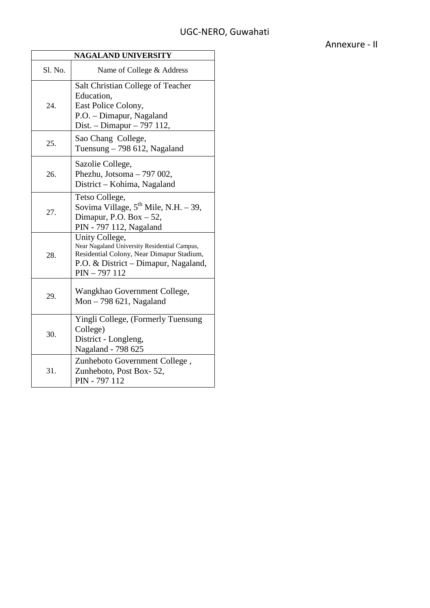| <b>NAGALAND UNIVERSITY</b> |                                                                                                                                                                       |  |
|----------------------------|-----------------------------------------------------------------------------------------------------------------------------------------------------------------------|--|
| S1. No.                    | Name of College & Address                                                                                                                                             |  |
| 24.                        | Salt Christian College of Teacher<br>Education,<br>East Police Colony,<br>P.O. - Dimapur, Nagaland<br>Dist. - Dimapur - 797 112,                                      |  |
| 25.                        | Sao Chang College,<br>Tuensung $-798$ 612, Nagaland                                                                                                                   |  |
| 26.                        | Sazolie College,<br>Phezhu, Jotsoma - 797 002,<br>District - Kohima, Nagaland                                                                                         |  |
| 27.                        | Tetso College,<br>Sovima Village, $5^{th}$ Mile, N.H. - 39,<br>Dimapur, P.O. Box - 52,<br>PIN - 797 112, Nagaland                                                     |  |
| 28.                        | Unity College,<br>Near Nagaland University Residential Campus,<br>Residential Colony, Near Dimapur Stadium,<br>P.O. & District – Dimapur, Nagaland,<br>$PIN - 797112$ |  |
| 29.                        | Wangkhao Government College,<br>Mon $-798621$ , Nagaland                                                                                                              |  |
| 30.                        | Yingli College, (Formerly Tuensung<br>College)<br>District - Longleng,<br>Nagaland - 798 625                                                                          |  |
| 31.                        | Zunheboto Government College,<br>Zunheboto, Post Box-52,<br>PIN - 797 112                                                                                             |  |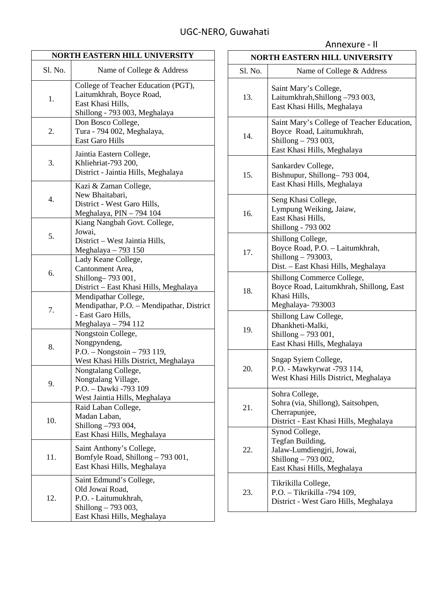| NORTH EASTERN HILL UNIVERSITY |                                                                                                                          |  |
|-------------------------------|--------------------------------------------------------------------------------------------------------------------------|--|
| Sl. No.                       | Name of College & Address                                                                                                |  |
| 1.                            | College of Teacher Education (PGT),<br>Laitumkhrah, Boyce Road,<br>East Khasi Hills,<br>Shillong - 793 003, Meghalaya    |  |
| 2.                            | Don Bosco College,<br>Tura - 794 002, Meghalaya,<br>East Garo Hills                                                      |  |
| 3.                            | Jaintia Eastern College,<br>Khliehriat-793 200,<br>District - Jaintia Hills, Meghalaya                                   |  |
| 4.                            | Kazi & Zaman College,<br>New Bhaitabari,<br>District - West Garo Hills,<br>Meghalaya, PIN - 794 104                      |  |
| 5.                            | Kiang Nangbah Govt. College,<br>Jowai,<br>District – West Jaintia Hills,<br>Meghalaya - 793 150                          |  |
| 6.                            | Lady Keane College,<br>Cantonment Area,<br>Shillong-793 001,<br>District - East Khasi Hills, Meghalaya                   |  |
| 7.                            | Mendipathar College,<br>Mendipathar, P.O. - Mendipathar, District<br>- East Garo Hills,<br>Meghalaya - 794 112           |  |
| 8.                            | Nongstoin College,<br>Nongpyndeng,<br>P.O. - Nongstoin - 793 119,<br>West Khasi Hills District, Meghalaya                |  |
| 9.                            | Nongtalang College,<br>Nongtalang Village,<br>P.O. - Dawki -793 109<br>West Jaintia Hills, Meghalaya                     |  |
| 10.                           | Raid Laban College,<br>Madan Laban,<br>Shillong -793 004,<br>East Khasi Hills, Meghalaya                                 |  |
| 11.                           | Saint Anthony's College,<br>Bomfyle Road, Shillong - 793 001,<br>East Khasi Hills, Meghalaya                             |  |
| 12.                           | Saint Edmund's College,<br>Old Jowai Road,<br>P.O. - Laitumukhrah,<br>Shillong – 793 003,<br>East Khasi Hills, Meghalaya |  |

| <b>NORTH EASTERN HILL UNIVERSITY</b> |                                                                                                                               |  |
|--------------------------------------|-------------------------------------------------------------------------------------------------------------------------------|--|
| Sl. No.                              | Name of College & Address                                                                                                     |  |
| 13.                                  | Saint Mary's College,<br>Laitumkhrah, Shillong -793 003,<br>East Khasi Hills, Meghalaya                                       |  |
| 14.                                  | Saint Mary's College of Teacher Education,<br>Boyce Road, Laitumukhrah,<br>Shillong - 793 003,<br>East Khasi Hills, Meghalaya |  |
| 15.                                  | Sankardev College,<br>Bishnupur, Shillong-793 004,<br>East Khasi Hills, Meghalaya                                             |  |
| 16.                                  | Seng Khasi College,<br>Lympung Weiking, Jaiaw,<br>East Khasi Hills,<br>Shillong - 793 002                                     |  |
| 17.                                  | Shillong College,<br>Boyce Road, P.O. - Laitumkhrah,<br>Shillong - 793003,<br>Dist. - East Khasi Hills, Meghalaya             |  |
| 18.                                  | Shillong Commerce College,<br>Boyce Road, Laitumkhrah, Shillong, East<br>Khasi Hills,<br>Meghalaya-793003                     |  |
| 19.                                  | Shillong Law College,<br>Dhankheti-Malki,<br>Shillong - 793 001,<br>East Khasi Hills, Meghalaya                               |  |
| 20.                                  | Sngap Syiem College,<br>P.O. - Mawkyrwat -793 114,<br>West Khasi Hills District, Meghalaya                                    |  |
| 21.                                  | Sohra College,<br>Sohra (via, Shillong), Saitsohpen,<br>Cherrapunjee,<br>District - East Khasi Hills, Meghalaya               |  |
| 22.                                  | Synod College,<br>Tegfan Building,<br>Jalaw-Lumdiengjri, Jowai,<br>Shillong - 793 002,<br>East Khasi Hills, Meghalaya         |  |
| 23.                                  | Tikrikilla College,<br>P.O. - Tikrikilla -794 109,<br>District - West Garo Hills, Meghalaya                                   |  |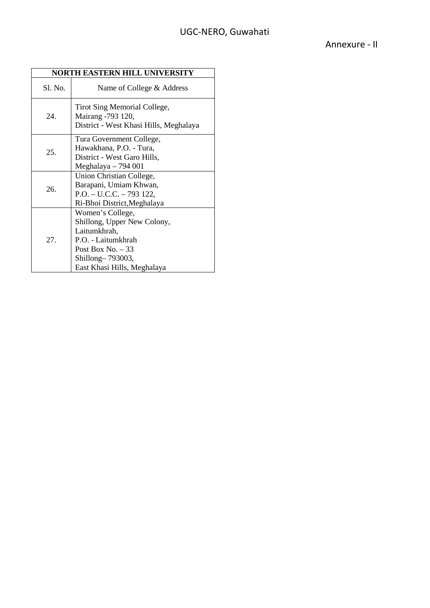| NORTH EASTERN HILL UNIVERSITY |                                                                                                                                                                |  |
|-------------------------------|----------------------------------------------------------------------------------------------------------------------------------------------------------------|--|
| Sl. No.                       | Name of College & Address                                                                                                                                      |  |
| 24.                           | Tirot Sing Memorial College,<br>Mairang -793 120,<br>District - West Khasi Hills, Meghalaya                                                                    |  |
| 25.                           | Tura Government College,<br>Hawakhana, P.O. - Tura,<br>District - West Garo Hills,<br>Meghalaya $-794001$                                                      |  |
| 26.                           | Union Christian College,<br>Barapani, Umiam Khwan,<br>P.O. - U.C.C. - 793 122,<br>Ri-Bhoi District, Meghalaya                                                  |  |
| 27.                           | Women's College,<br>Shillong, Upper New Colony,<br>Laitumkhrah,<br>P.O. - Laitumkhrah<br>Post Box No. $-33$<br>Shillong-793003,<br>East Khasi Hills, Meghalaya |  |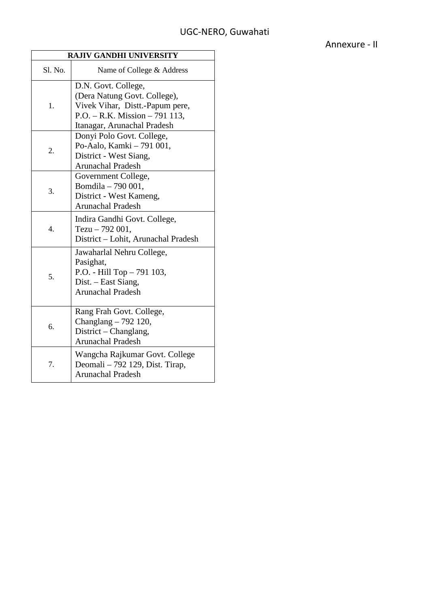| <b>RAJIV GANDHI UNIVERSITY</b> |                                                                                                                                                          |  |
|--------------------------------|----------------------------------------------------------------------------------------------------------------------------------------------------------|--|
| Sl. No.                        | Name of College & Address                                                                                                                                |  |
| 1.                             | D.N. Govt. College,<br>(Dera Natung Govt. College),<br>Vivek Vihar, Distt.-Papum pere,<br>$P.O. - R.K. Mission - 791113,$<br>Itanagar, Arunachal Pradesh |  |
| 2.                             | Donyi Polo Govt. College,<br>Po-Aalo, Kamki - 791 001,<br>District - West Siang,<br><b>Arunachal Pradesh</b>                                             |  |
| 3.                             | Government College,<br>Bomdila - 790 001,<br>District - West Kameng,<br><b>Arunachal Pradesh</b>                                                         |  |
| 4.                             | Indira Gandhi Govt. College,<br>Tezu $-792001$ ,<br>District - Lohit, Arunachal Pradesh                                                                  |  |
| 5.                             | Jawaharlal Nehru College,<br>Pasighat,<br>P.O. - Hill Top - 791 103,<br>Dist. – East Siang,<br><b>Arunachal Pradesh</b>                                  |  |
| 6.                             | Rang Frah Govt. College,<br>Changlang $-792$ 120,<br>District – Changlang,<br><b>Arunachal Pradesh</b>                                                   |  |
| 7.                             | Wangcha Rajkumar Govt. College<br>Deomali - 792 129, Dist. Tirap,<br>Arunachal Pradesh                                                                   |  |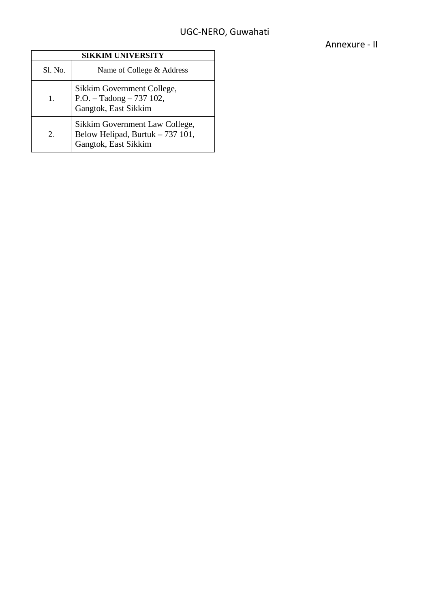| <b>SIKKIM UNIVERSITY</b> |                                                                                            |  |
|--------------------------|--------------------------------------------------------------------------------------------|--|
| Sl. No.                  | Name of College & Address                                                                  |  |
| 1.                       | Sikkim Government College,<br>$P.O. - Tadong - 737102,$<br>Gangtok, East Sikkim            |  |
| 2.                       | Sikkim Government Law College,<br>Below Helipad, Burtuk - 737 101,<br>Gangtok, East Sikkim |  |